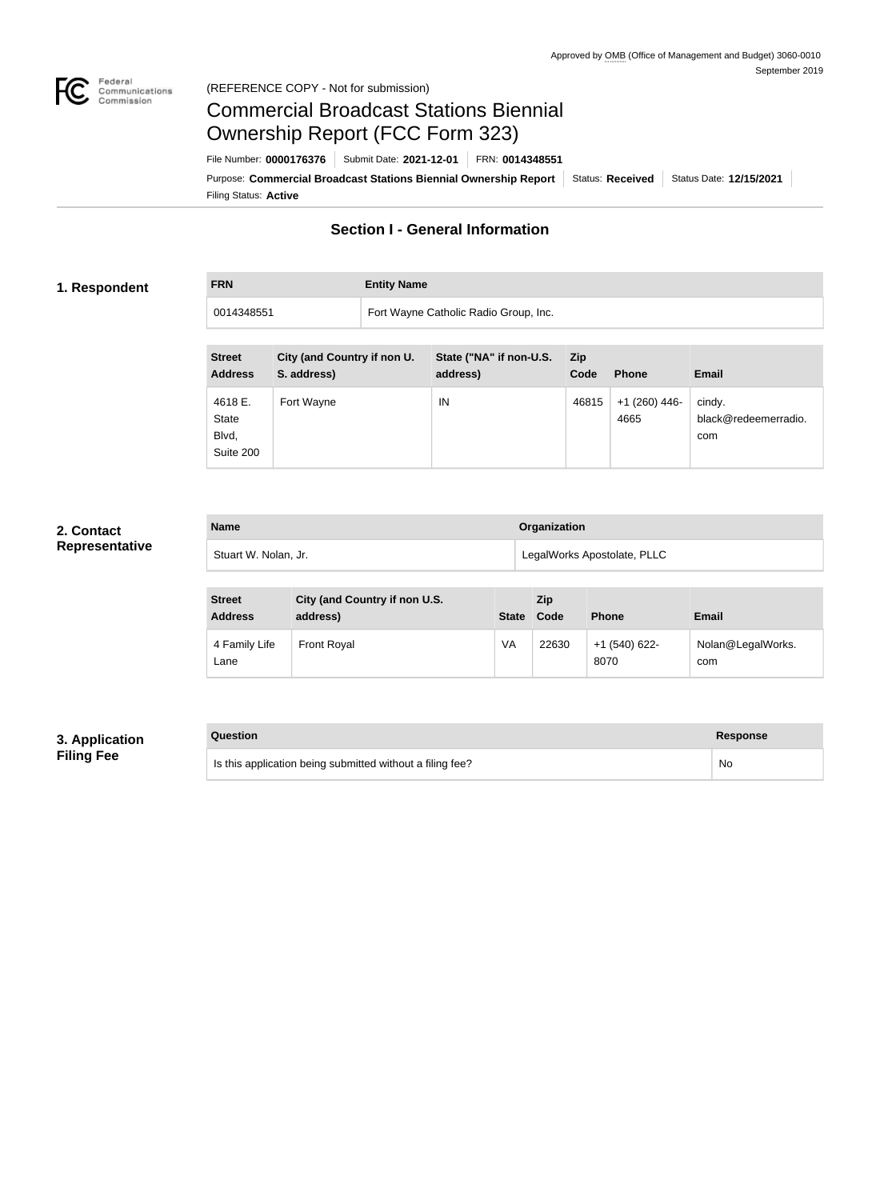

#### Federal<br>Communications<br>Commission (REFERENCE COPY - Not for submission)

# Commercial Broadcast Stations Biennial Ownership Report (FCC Form 323)

Filing Status: **Active** Purpose: Commercial Broadcast Stations Biennial Ownership Report Status: Received Status Date: 12/15/2021 File Number: **0000176376** Submit Date: **2021-12-01** FRN: **0014348551**

### **Section I - General Information**

#### **1. Respondent**

**FRN Entity Name**

0014348551 Fort Wayne Catholic Radio Group, Inc.

| <b>Street</b><br><b>Address</b>               | City (and Country if non U.<br>S. address) | State ("NA" if non-U.S.<br>address) | Zip.<br>Code | <b>Phone</b>            | <b>Email</b>                          |
|-----------------------------------------------|--------------------------------------------|-------------------------------------|--------------|-------------------------|---------------------------------------|
| 4618 E.<br><b>State</b><br>Blvd,<br>Suite 200 | Fort Wayne                                 | IN                                  | 46815        | $+1$ (260) 446-<br>4665 | cindy.<br>black@redeemerradio.<br>com |

### **2. Contact Representative**

| <b>Name</b>          | <b>Organization</b>         |
|----------------------|-----------------------------|
| Stuart W. Nolan, Jr. | LegalWorks Apostolate, PLLC |

| <b>Street</b><br><b>Address</b> | City (and Country if non U.S.<br>address) | <b>State</b> | <b>Zip</b><br>Code | <b>Phone</b>            | <b>Email</b>             |
|---------------------------------|-------------------------------------------|--------------|--------------------|-------------------------|--------------------------|
| 4 Family Life<br>Lane           | Front Royal                               | VA           | 22630              | $+1$ (540) 622-<br>8070 | Nolan@LegalWorks.<br>com |

#### **3. Application Filing Fee**

| Question                                                  | <b>Response</b> |
|-----------------------------------------------------------|-----------------|
| Is this application being submitted without a filing fee? | No              |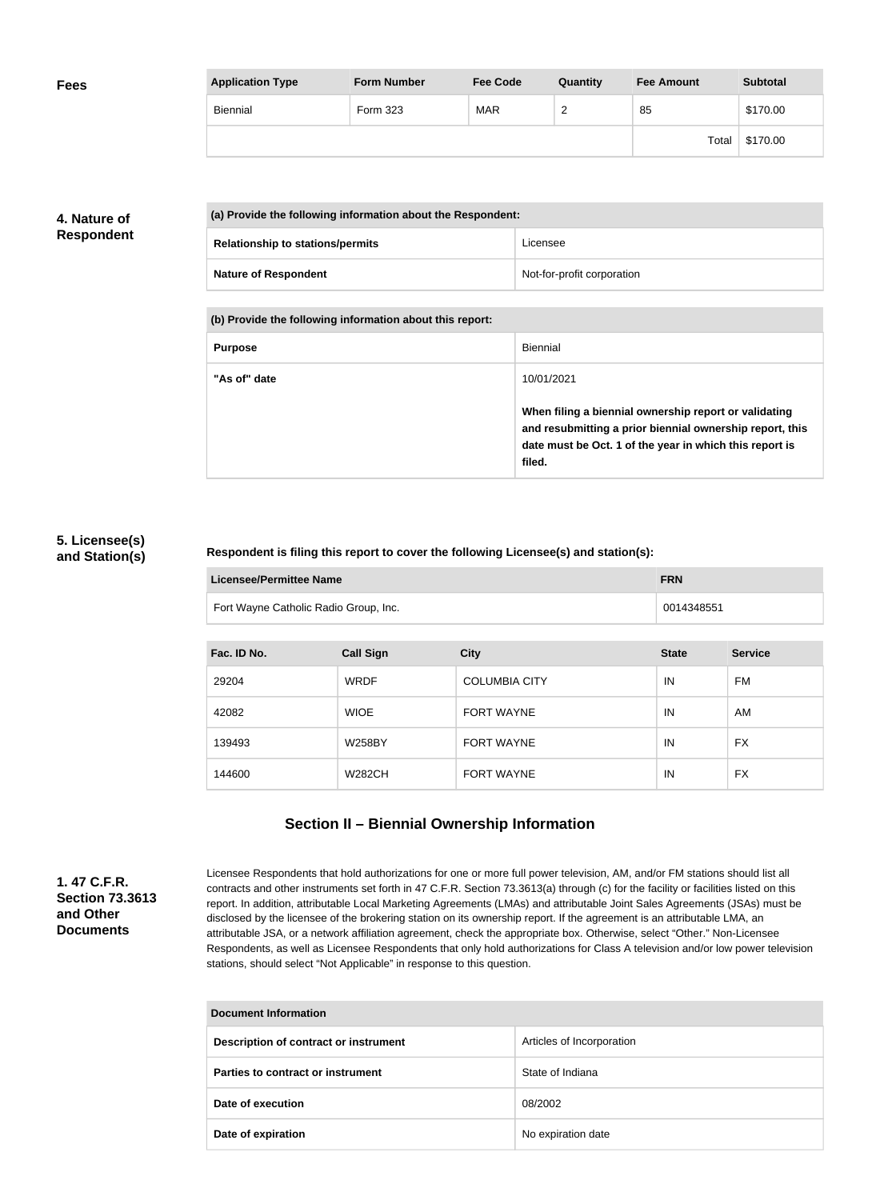| <b>Fees</b> | <b>Application Type</b> | <b>Form Number</b> | <b>Fee Code</b> | Quantity        | <b>Fee Amount</b> | <b>Subtotal</b> |
|-------------|-------------------------|--------------------|-----------------|-----------------|-------------------|-----------------|
|             | Biennial                | Form 323           | <b>MAR</b>      | $\sqrt{2}$<br>_ | 85                | \$170.00        |
|             |                         |                    |                 |                 | Total             | \$170.00        |

### **4. Nature of Respondent**

| (a) Provide the following information about the Respondent: |                            |
|-------------------------------------------------------------|----------------------------|
| <b>Relationship to stations/permits</b>                     | Licensee                   |
| <b>Nature of Respondent</b>                                 | Not-for-profit corporation |

**(b) Provide the following information about this report:**

| <b>Purpose</b> | Biennial                                                                                                                                                                               |
|----------------|----------------------------------------------------------------------------------------------------------------------------------------------------------------------------------------|
| "As of" date   | 10/01/2021                                                                                                                                                                             |
|                | When filing a biennial ownership report or validating<br>and resubmitting a prior biennial ownership report, this<br>date must be Oct. 1 of the year in which this report is<br>filed. |

#### **5. Licensee(s) and Station(s)**

#### **Respondent is filing this report to cover the following Licensee(s) and station(s):**

| Licensee/Permittee Name               | <b>FRN</b> |
|---------------------------------------|------------|
| Fort Wayne Catholic Radio Group, Inc. | 0014348551 |

| Fac. ID No. | <b>Call Sign</b> | <b>City</b>          | <b>State</b> | <b>Service</b> |
|-------------|------------------|----------------------|--------------|----------------|
| 29204       | <b>WRDF</b>      | <b>COLUMBIA CITY</b> | ΙN           | FM             |
| 42082       | <b>WIOE</b>      | <b>FORT WAYNE</b>    | ΙN           | AM             |
| 139493      | <b>W258BY</b>    | <b>FORT WAYNE</b>    | IN           | <b>FX</b>      |
| 144600      | <b>W282CH</b>    | <b>FORT WAYNE</b>    | IN           | <b>FX</b>      |

## **Section II – Biennial Ownership Information**

**1. 47 C.F.R. Section 73.3613 and Other Documents**

Licensee Respondents that hold authorizations for one or more full power television, AM, and/or FM stations should list all contracts and other instruments set forth in 47 C.F.R. Section 73.3613(a) through (c) for the facility or facilities listed on this report. In addition, attributable Local Marketing Agreements (LMAs) and attributable Joint Sales Agreements (JSAs) must be disclosed by the licensee of the brokering station on its ownership report. If the agreement is an attributable LMA, an attributable JSA, or a network affiliation agreement, check the appropriate box. Otherwise, select "Other." Non-Licensee Respondents, as well as Licensee Respondents that only hold authorizations for Class A television and/or low power television stations, should select "Not Applicable" in response to this question.

| <b>Document Information</b>           |                           |  |
|---------------------------------------|---------------------------|--|
| Description of contract or instrument | Articles of Incorporation |  |
| Parties to contract or instrument     | State of Indiana          |  |
| Date of execution                     | 08/2002                   |  |
| Date of expiration                    | No expiration date        |  |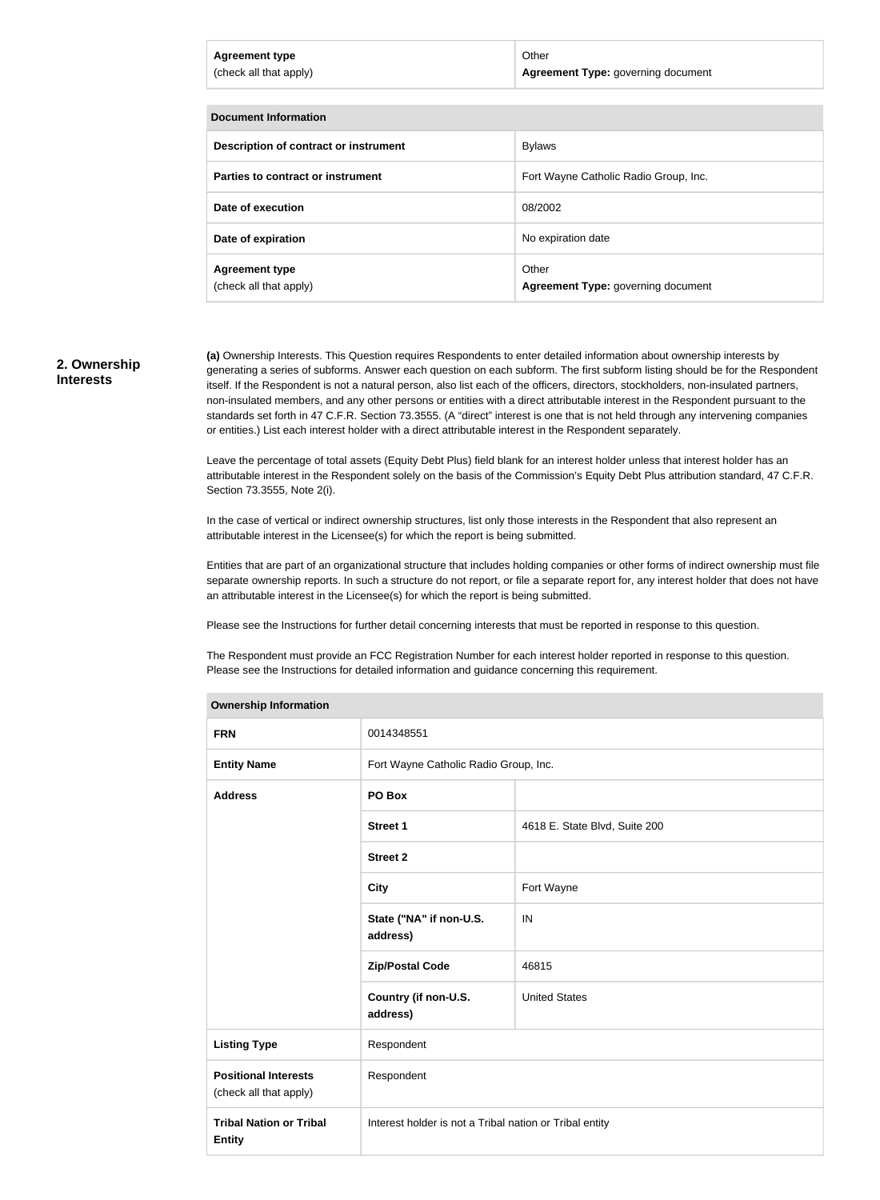| <b>Agreement type</b><br>(check all that apply) | Other<br>Agreement Type: governing document |
|-------------------------------------------------|---------------------------------------------|
|                                                 |                                             |
| Document Information                            |                                             |

| Poognicht in onnauon                            |                                             |
|-------------------------------------------------|---------------------------------------------|
| Description of contract or instrument           | Bylaws                                      |
| Parties to contract or instrument               | Fort Wayne Catholic Radio Group, Inc.       |
| Date of execution                               | 08/2002                                     |
| Date of expiration                              | No expiration date                          |
| <b>Agreement type</b><br>(check all that apply) | Other<br>Agreement Type: governing document |

#### **2. Ownership Interests**

**(a)** Ownership Interests. This Question requires Respondents to enter detailed information about ownership interests by generating a series of subforms. Answer each question on each subform. The first subform listing should be for the Respondent itself. If the Respondent is not a natural person, also list each of the officers, directors, stockholders, non-insulated partners, non-insulated members, and any other persons or entities with a direct attributable interest in the Respondent pursuant to the standards set forth in 47 C.F.R. Section 73.3555. (A "direct" interest is one that is not held through any intervening companies or entities.) List each interest holder with a direct attributable interest in the Respondent separately.

Leave the percentage of total assets (Equity Debt Plus) field blank for an interest holder unless that interest holder has an attributable interest in the Respondent solely on the basis of the Commission's Equity Debt Plus attribution standard, 47 C.F.R. Section 73.3555, Note 2(i).

In the case of vertical or indirect ownership structures, list only those interests in the Respondent that also represent an attributable interest in the Licensee(s) for which the report is being submitted.

Entities that are part of an organizational structure that includes holding companies or other forms of indirect ownership must file separate ownership reports. In such a structure do not report, or file a separate report for, any interest holder that does not have an attributable interest in the Licensee(s) for which the report is being submitted.

Please see the Instructions for further detail concerning interests that must be reported in response to this question.

The Respondent must provide an FCC Registration Number for each interest holder reported in response to this question. Please see the Instructions for detailed information and guidance concerning this requirement.

| <b>FRN</b><br>0014348551<br><b>Entity Name</b><br>Fort Wayne Catholic Radio Group, Inc.<br>PO Box<br><b>Address</b><br><b>Street 1</b><br>4618 E. State Blvd, Suite 200<br><b>Street 2</b><br>Fort Wayne<br><b>City</b><br>State ("NA" if non-U.S.<br>IN<br>address)<br>46815<br><b>Zip/Postal Code</b><br>Country (if non-U.S.<br><b>United States</b><br>address)<br>Respondent<br><b>Listing Type</b><br>Respondent<br><b>Positional Interests</b><br>(check all that apply)<br><b>Tribal Nation or Tribal</b><br>Interest holder is not a Tribal nation or Tribal entity<br><b>Entity</b> | <b>Ownership information</b> |  |  |  |
|-----------------------------------------------------------------------------------------------------------------------------------------------------------------------------------------------------------------------------------------------------------------------------------------------------------------------------------------------------------------------------------------------------------------------------------------------------------------------------------------------------------------------------------------------------------------------------------------------|------------------------------|--|--|--|
|                                                                                                                                                                                                                                                                                                                                                                                                                                                                                                                                                                                               |                              |  |  |  |
|                                                                                                                                                                                                                                                                                                                                                                                                                                                                                                                                                                                               |                              |  |  |  |
|                                                                                                                                                                                                                                                                                                                                                                                                                                                                                                                                                                                               |                              |  |  |  |
|                                                                                                                                                                                                                                                                                                                                                                                                                                                                                                                                                                                               |                              |  |  |  |
|                                                                                                                                                                                                                                                                                                                                                                                                                                                                                                                                                                                               |                              |  |  |  |
|                                                                                                                                                                                                                                                                                                                                                                                                                                                                                                                                                                                               |                              |  |  |  |
|                                                                                                                                                                                                                                                                                                                                                                                                                                                                                                                                                                                               |                              |  |  |  |
|                                                                                                                                                                                                                                                                                                                                                                                                                                                                                                                                                                                               |                              |  |  |  |
|                                                                                                                                                                                                                                                                                                                                                                                                                                                                                                                                                                                               |                              |  |  |  |
|                                                                                                                                                                                                                                                                                                                                                                                                                                                                                                                                                                                               |                              |  |  |  |
|                                                                                                                                                                                                                                                                                                                                                                                                                                                                                                                                                                                               |                              |  |  |  |
|                                                                                                                                                                                                                                                                                                                                                                                                                                                                                                                                                                                               |                              |  |  |  |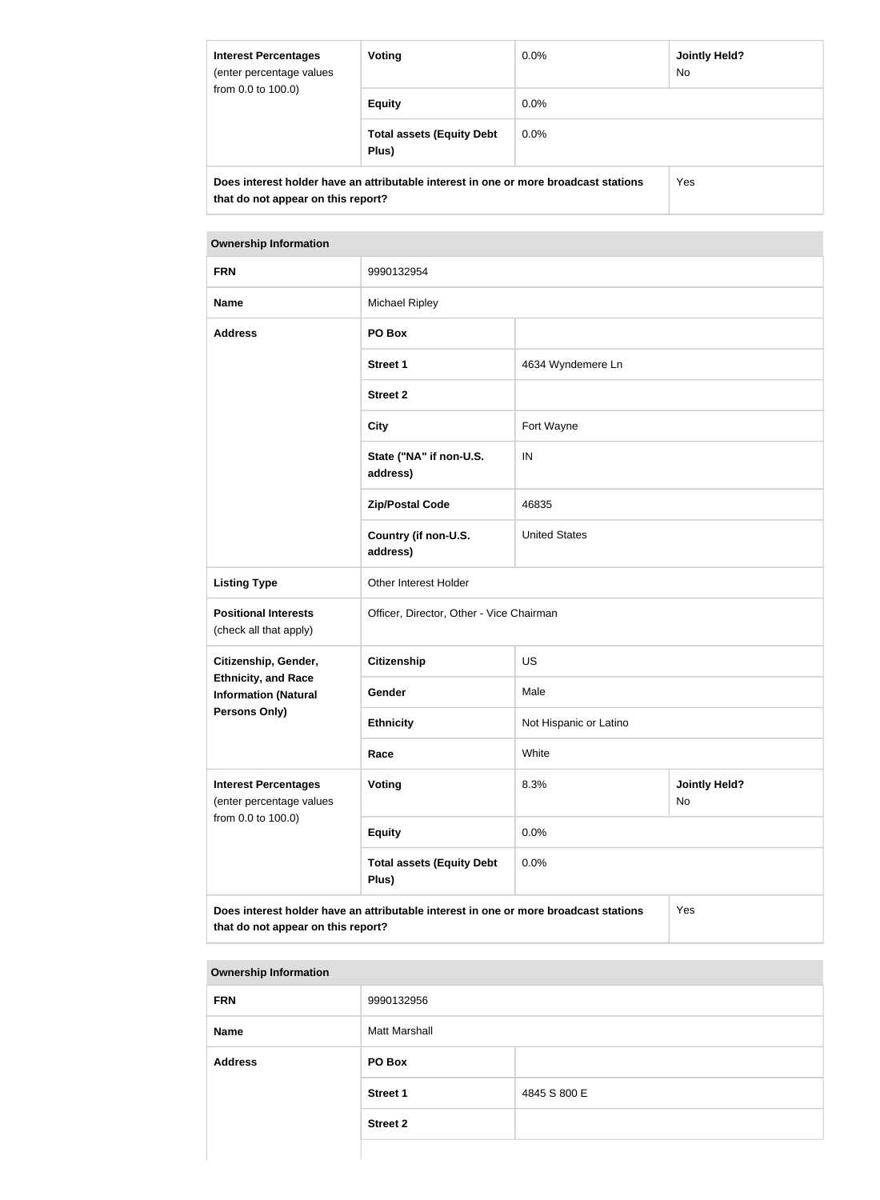| <b>Interest Percentages</b><br>(enter percentage values<br>from 0.0 to 100.0)                                              | Voting                                    | $0.0\%$    | Jointly Held?<br><b>No</b> |
|----------------------------------------------------------------------------------------------------------------------------|-------------------------------------------|------------|----------------------------|
|                                                                                                                            | <b>Equity</b>                             | $0.0\%$    |                            |
|                                                                                                                            | <b>Total assets (Equity Debt</b><br>Plus) | $0.0\%$    |                            |
| Does interest holder have an attributable interest in one or more broadcast stations<br>that do not appear on this report? |                                           | <b>Yes</b> |                            |

| <b>FRN</b>                                                | 9990132954                                                                                                                        |                                    |  |
|-----------------------------------------------------------|-----------------------------------------------------------------------------------------------------------------------------------|------------------------------------|--|
| <b>Name</b>                                               | <b>Michael Ripley</b>                                                                                                             |                                    |  |
| <b>Address</b>                                            | PO Box                                                                                                                            |                                    |  |
|                                                           | <b>Street 1</b>                                                                                                                   | 4634 Wyndemere Ln                  |  |
|                                                           | <b>Street 2</b>                                                                                                                   |                                    |  |
|                                                           | <b>City</b>                                                                                                                       | Fort Wayne                         |  |
|                                                           | State ("NA" if non-U.S.<br>address)                                                                                               | IN                                 |  |
|                                                           | <b>Zip/Postal Code</b>                                                                                                            | 46835                              |  |
|                                                           | Country (if non-U.S.<br>address)                                                                                                  | <b>United States</b>               |  |
| <b>Listing Type</b>                                       | Other Interest Holder                                                                                                             |                                    |  |
| <b>Positional Interests</b><br>(check all that apply)     | Officer, Director, Other - Vice Chairman                                                                                          |                                    |  |
| Citizenship, Gender,                                      | <b>Citizenship</b>                                                                                                                | <b>US</b>                          |  |
| <b>Ethnicity, and Race</b><br><b>Information (Natural</b> | Gender                                                                                                                            | Male                               |  |
| <b>Persons Only)</b>                                      | <b>Ethnicity</b>                                                                                                                  | Not Hispanic or Latino             |  |
|                                                           | Race                                                                                                                              | White                              |  |
| <b>Interest Percentages</b><br>(enter percentage values   | <b>Voting</b>                                                                                                                     | 8.3%<br><b>Jointly Held?</b><br>No |  |
| from 0.0 to 100.0)                                        | <b>Equity</b>                                                                                                                     | 0.0%                               |  |
|                                                           | <b>Total assets (Equity Debt</b><br>Plus)                                                                                         | 0.0%                               |  |
|                                                           | Does interest holder have an attributable interest in one or more broadcast stations<br>Yes<br>that do not appear on this report? |                                    |  |

| <b>Ownership Information</b> |                      |              |
|------------------------------|----------------------|--------------|
| <b>FRN</b>                   | 9990132956           |              |
| <b>Name</b>                  | <b>Matt Marshall</b> |              |
| <b>Address</b>               | PO Box               |              |
|                              | <b>Street 1</b>      | 4845 S 800 E |
|                              | <b>Street 2</b>      |              |
|                              |                      |              |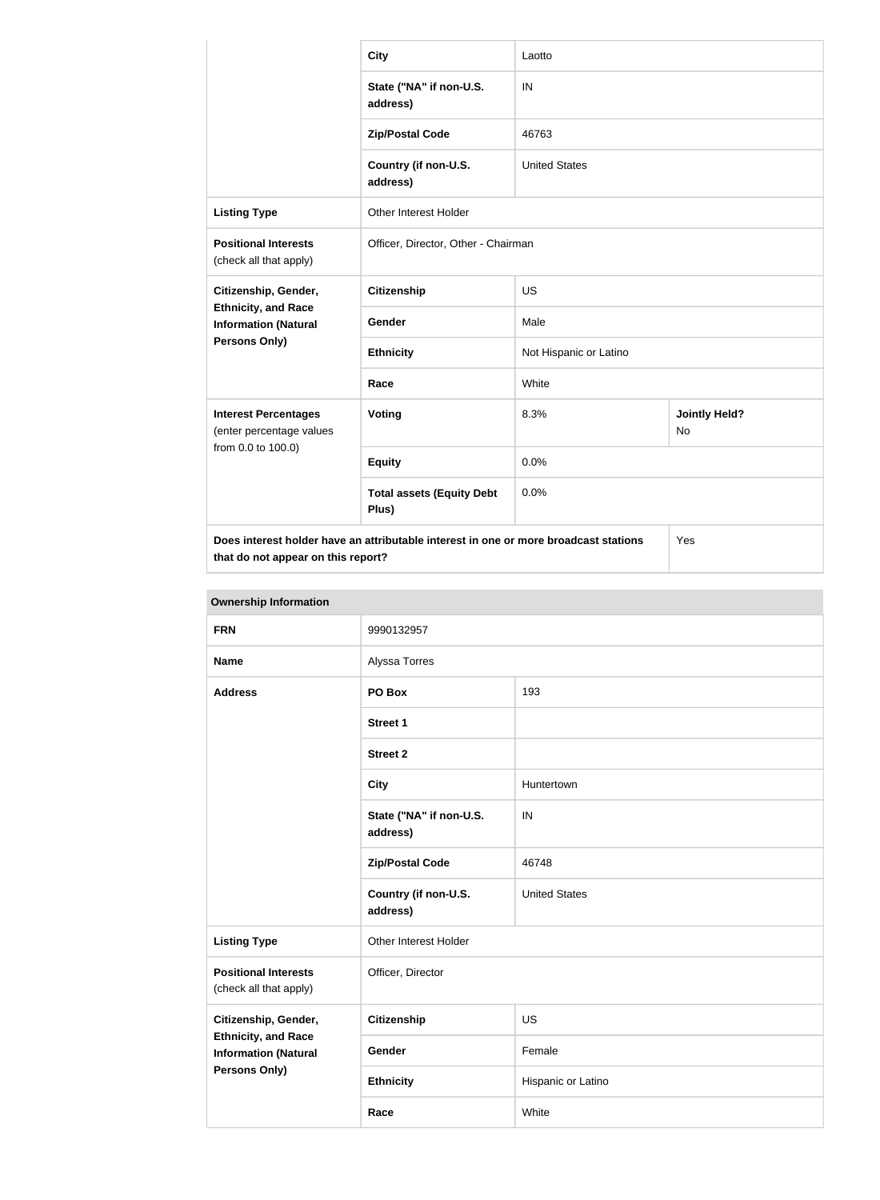|                                                                                                                            | <b>City</b>                               | Laotto                 |                                   |  |
|----------------------------------------------------------------------------------------------------------------------------|-------------------------------------------|------------------------|-----------------------------------|--|
|                                                                                                                            | State ("NA" if non-U.S.<br>address)       | IN                     |                                   |  |
|                                                                                                                            | <b>Zip/Postal Code</b>                    | 46763                  |                                   |  |
|                                                                                                                            | Country (if non-U.S.<br>address)          | <b>United States</b>   |                                   |  |
| <b>Listing Type</b>                                                                                                        | Other Interest Holder                     |                        |                                   |  |
| <b>Positional Interests</b><br>(check all that apply)                                                                      | Officer, Director, Other - Chairman       |                        |                                   |  |
| Citizenship, Gender,                                                                                                       | <b>Citizenship</b>                        | <b>US</b>              |                                   |  |
| <b>Ethnicity, and Race</b><br><b>Information (Natural</b>                                                                  | <b>Gender</b>                             | Male                   |                                   |  |
| Persons Only)                                                                                                              | <b>Ethnicity</b>                          | Not Hispanic or Latino |                                   |  |
|                                                                                                                            | Race                                      | White                  |                                   |  |
| <b>Interest Percentages</b><br>(enter percentage values                                                                    | <b>Voting</b>                             | 8.3%                   | <b>Jointly Held?</b><br><b>No</b> |  |
| from 0.0 to 100.0)                                                                                                         | <b>Equity</b>                             | 0.0%                   |                                   |  |
|                                                                                                                            | <b>Total assets (Equity Debt</b><br>Plus) | 0.0%                   |                                   |  |
| Does interest holder have an attributable interest in one or more broadcast stations<br>that do not appear on this report? |                                           |                        | Yes                               |  |

| <b>Ownership Information</b>                                                      |                                     |                      |
|-----------------------------------------------------------------------------------|-------------------------------------|----------------------|
| <b>FRN</b>                                                                        | 9990132957                          |                      |
| <b>Name</b>                                                                       | Alyssa Torres                       |                      |
| <b>Address</b>                                                                    | PO Box                              | 193                  |
|                                                                                   | <b>Street 1</b>                     |                      |
|                                                                                   | <b>Street 2</b>                     |                      |
|                                                                                   | <b>City</b>                         | Huntertown           |
|                                                                                   | State ("NA" if non-U.S.<br>address) | IN                   |
|                                                                                   | <b>Zip/Postal Code</b>              | 46748                |
|                                                                                   | Country (if non-U.S.<br>address)    | <b>United States</b> |
| <b>Listing Type</b>                                                               | Other Interest Holder               |                      |
| <b>Positional Interests</b><br>(check all that apply)                             | Officer, Director                   |                      |
| Citizenship, Gender,                                                              | <b>Citizenship</b>                  | <b>US</b>            |
| <b>Ethnicity, and Race</b><br><b>Information (Natural</b><br><b>Persons Only)</b> | Gender                              | Female               |
|                                                                                   | <b>Ethnicity</b>                    | Hispanic or Latino   |
|                                                                                   | Race                                | White                |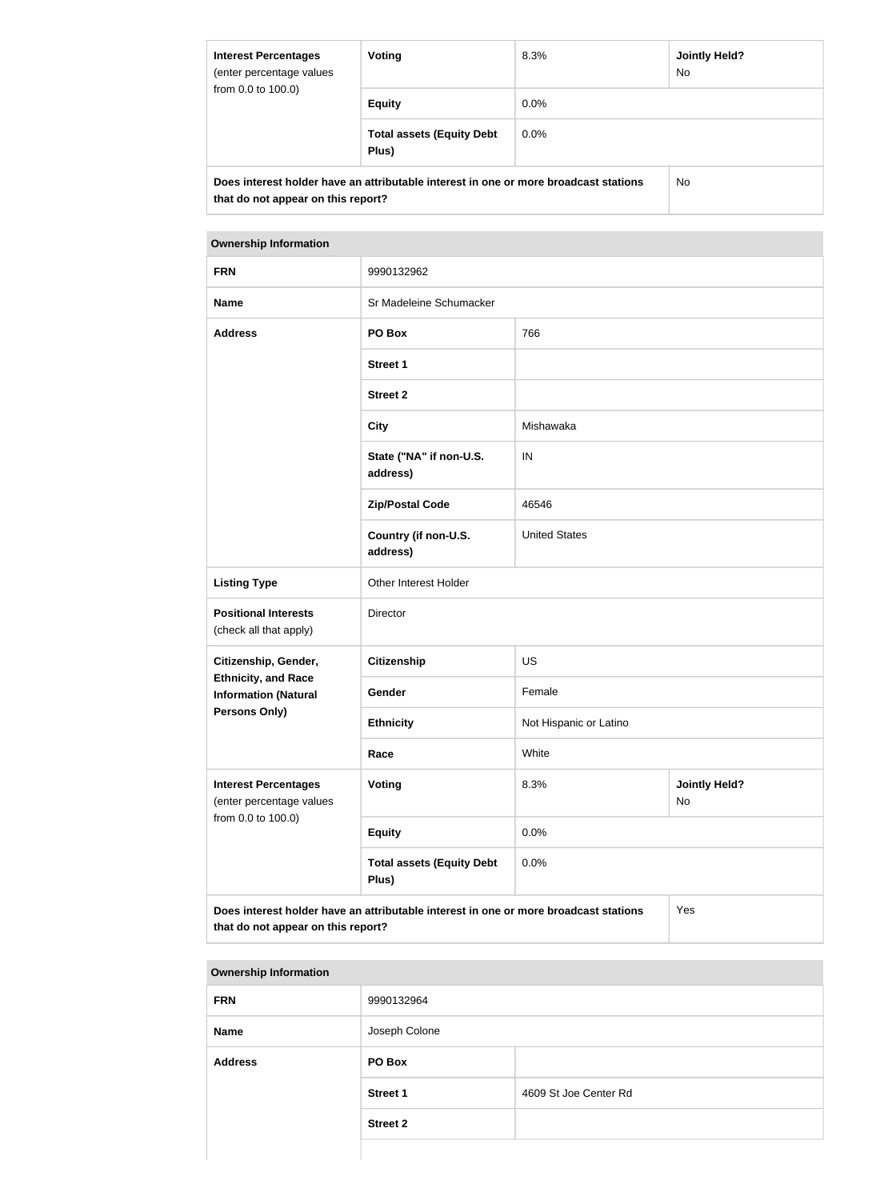| <b>Interest Percentages</b><br>(enter percentage values<br>from 0.0 to 100.0)                                              | Voting                                    | 8.3%    | Jointly Held?<br>No. |
|----------------------------------------------------------------------------------------------------------------------------|-------------------------------------------|---------|----------------------|
|                                                                                                                            | <b>Equity</b>                             | $0.0\%$ |                      |
|                                                                                                                            | <b>Total assets (Equity Debt</b><br>Plus) | $0.0\%$ |                      |
| Does interest holder have an attributable interest in one or more broadcast stations<br>that do not appear on this report? |                                           | No.     |                      |

| <b>FRN</b>                                                                                                                        | 9990132962                                |                                    |  |  |
|-----------------------------------------------------------------------------------------------------------------------------------|-------------------------------------------|------------------------------------|--|--|
| <b>Name</b>                                                                                                                       | Sr Madeleine Schumacker                   |                                    |  |  |
| <b>Address</b>                                                                                                                    | PO Box                                    | 766                                |  |  |
|                                                                                                                                   | <b>Street 1</b>                           |                                    |  |  |
|                                                                                                                                   | <b>Street 2</b>                           |                                    |  |  |
|                                                                                                                                   | <b>City</b>                               | Mishawaka                          |  |  |
|                                                                                                                                   | State ("NA" if non-U.S.<br>address)       | IN                                 |  |  |
|                                                                                                                                   | <b>Zip/Postal Code</b>                    | 46546                              |  |  |
|                                                                                                                                   | Country (if non-U.S.<br>address)          | <b>United States</b>               |  |  |
| <b>Listing Type</b>                                                                                                               | Other Interest Holder                     |                                    |  |  |
| <b>Positional Interests</b><br>(check all that apply)                                                                             | Director                                  |                                    |  |  |
| Citizenship, Gender,                                                                                                              | <b>Citizenship</b>                        | <b>US</b>                          |  |  |
| <b>Ethnicity, and Race</b><br><b>Information (Natural</b>                                                                         | Gender                                    | Female                             |  |  |
| <b>Persons Only)</b>                                                                                                              | <b>Ethnicity</b>                          | Not Hispanic or Latino             |  |  |
|                                                                                                                                   | Race                                      | White                              |  |  |
| <b>Interest Percentages</b><br>(enter percentage values                                                                           | Voting                                    | 8.3%<br><b>Jointly Held?</b><br>No |  |  |
| from 0.0 to 100.0)                                                                                                                | <b>Equity</b>                             | 0.0%                               |  |  |
|                                                                                                                                   | <b>Total assets (Equity Debt</b><br>Plus) | 0.0%                               |  |  |
| Does interest holder have an attributable interest in one or more broadcast stations<br>Yes<br>that do not appear on this report? |                                           |                                    |  |  |

| <b>Ownership Information</b> |                 |                       |
|------------------------------|-----------------|-----------------------|
| <b>FRN</b>                   | 9990132964      |                       |
| <b>Name</b>                  | Joseph Colone   |                       |
| <b>Address</b>               | PO Box          |                       |
|                              | <b>Street 1</b> | 4609 St Joe Center Rd |
|                              | <b>Street 2</b> |                       |
|                              |                 |                       |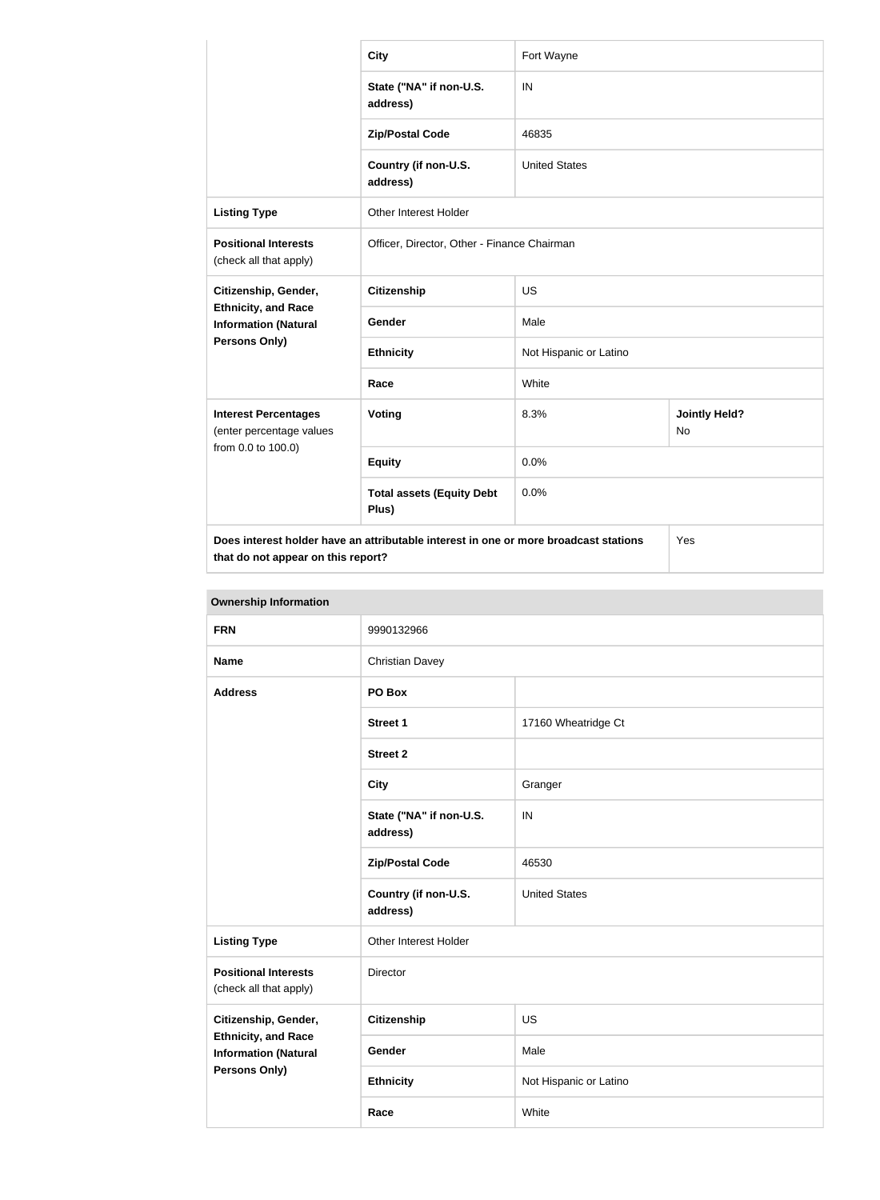|                                                                                                                                   | <b>City</b>                                 | Fort Wayne             |                                   |
|-----------------------------------------------------------------------------------------------------------------------------------|---------------------------------------------|------------------------|-----------------------------------|
|                                                                                                                                   | State ("NA" if non-U.S.<br>address)         | IN                     |                                   |
|                                                                                                                                   | <b>Zip/Postal Code</b>                      | 46835                  |                                   |
|                                                                                                                                   | Country (if non-U.S.<br>address)            | <b>United States</b>   |                                   |
| <b>Listing Type</b>                                                                                                               | Other Interest Holder                       |                        |                                   |
| <b>Positional Interests</b><br>(check all that apply)                                                                             | Officer, Director, Other - Finance Chairman |                        |                                   |
| Citizenship, Gender,                                                                                                              | Citizenship                                 | <b>US</b>              |                                   |
| <b>Ethnicity, and Race</b><br><b>Information (Natural</b>                                                                         | Gender                                      | Male                   |                                   |
| Persons Only)                                                                                                                     | <b>Ethnicity</b>                            | Not Hispanic or Latino |                                   |
|                                                                                                                                   | Race                                        | White                  |                                   |
| <b>Interest Percentages</b><br>(enter percentage values                                                                           | Voting                                      | 8.3%                   | <b>Jointly Held?</b><br><b>No</b> |
| from 0.0 to 100.0)                                                                                                                | <b>Equity</b>                               | 0.0%                   |                                   |
|                                                                                                                                   | <b>Total assets (Equity Debt</b><br>Plus)   | 0.0%                   |                                   |
| Does interest holder have an attributable interest in one or more broadcast stations<br>Yes<br>that do not appear on this report? |                                             |                        |                                   |

|                                                                                   | <b>Ownership Information</b>        |                        |  |  |
|-----------------------------------------------------------------------------------|-------------------------------------|------------------------|--|--|
| <b>FRN</b>                                                                        | 9990132966                          |                        |  |  |
| <b>Name</b>                                                                       | <b>Christian Davey</b>              |                        |  |  |
| <b>Address</b>                                                                    | PO Box                              |                        |  |  |
|                                                                                   | <b>Street 1</b>                     | 17160 Wheatridge Ct    |  |  |
|                                                                                   | <b>Street 2</b>                     |                        |  |  |
|                                                                                   | <b>City</b>                         | Granger                |  |  |
|                                                                                   | State ("NA" if non-U.S.<br>address) | IN                     |  |  |
|                                                                                   | <b>Zip/Postal Code</b>              | 46530                  |  |  |
|                                                                                   | Country (if non-U.S.<br>address)    | <b>United States</b>   |  |  |
| <b>Listing Type</b>                                                               | Other Interest Holder               |                        |  |  |
| <b>Positional Interests</b><br>(check all that apply)                             | Director                            |                        |  |  |
| Citizenship, Gender,                                                              | Citizenship                         | <b>US</b>              |  |  |
| <b>Ethnicity, and Race</b><br><b>Information (Natural</b><br><b>Persons Only)</b> | Gender                              | Male                   |  |  |
|                                                                                   | <b>Ethnicity</b>                    | Not Hispanic or Latino |  |  |
|                                                                                   | Race                                | White                  |  |  |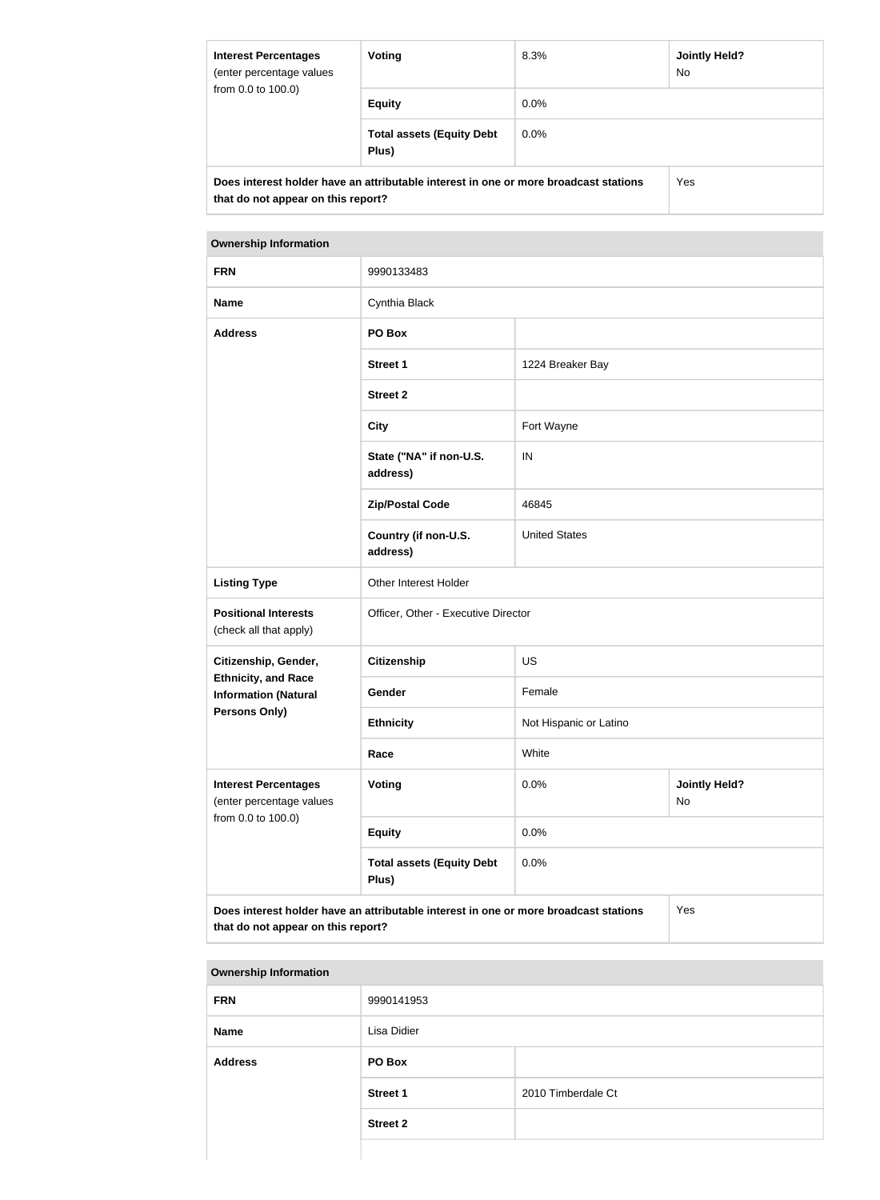| <b>Interest Percentages</b><br>(enter percentage values<br>from 0.0 to 100.0)                                              | Voting                                    | 8.3%    | <b>Jointly Held?</b><br>No. |
|----------------------------------------------------------------------------------------------------------------------------|-------------------------------------------|---------|-----------------------------|
|                                                                                                                            | <b>Equity</b>                             | $0.0\%$ |                             |
|                                                                                                                            | <b>Total assets (Equity Debt</b><br>Plus) | $0.0\%$ |                             |
| Does interest holder have an attributable interest in one or more broadcast stations<br>that do not appear on this report? |                                           |         | Yes                         |

| <b>FRN</b>                                                                                                                        | 9990133483                                |                                    |  |
|-----------------------------------------------------------------------------------------------------------------------------------|-------------------------------------------|------------------------------------|--|
| <b>Name</b>                                                                                                                       | Cynthia Black                             |                                    |  |
| <b>Address</b>                                                                                                                    | PO Box                                    |                                    |  |
|                                                                                                                                   | <b>Street 1</b>                           | 1224 Breaker Bay                   |  |
|                                                                                                                                   | <b>Street 2</b>                           |                                    |  |
|                                                                                                                                   | <b>City</b>                               | Fort Wayne                         |  |
|                                                                                                                                   | State ("NA" if non-U.S.<br>address)       | IN                                 |  |
|                                                                                                                                   | <b>Zip/Postal Code</b>                    | 46845                              |  |
|                                                                                                                                   | Country (if non-U.S.<br>address)          | <b>United States</b>               |  |
| <b>Listing Type</b>                                                                                                               | Other Interest Holder                     |                                    |  |
| <b>Positional Interests</b><br>(check all that apply)                                                                             | Officer, Other - Executive Director       |                                    |  |
| Citizenship, Gender,                                                                                                              | <b>Citizenship</b>                        | <b>US</b>                          |  |
| <b>Ethnicity, and Race</b><br><b>Information (Natural</b>                                                                         | Gender                                    | Female                             |  |
| <b>Persons Only)</b>                                                                                                              | <b>Ethnicity</b>                          | Not Hispanic or Latino             |  |
|                                                                                                                                   | Race                                      | White                              |  |
| <b>Interest Percentages</b><br>(enter percentage values<br>from 0.0 to 100.0)                                                     | <b>Voting</b>                             | 0.0%<br><b>Jointly Held?</b><br>No |  |
|                                                                                                                                   | <b>Equity</b>                             | 0.0%                               |  |
|                                                                                                                                   | <b>Total assets (Equity Debt</b><br>Plus) | 0.0%                               |  |
| Does interest holder have an attributable interest in one or more broadcast stations<br>Yes<br>that do not appear on this report? |                                           |                                    |  |

| <b>Ownership Information</b> |                 |                    |  |
|------------------------------|-----------------|--------------------|--|
| <b>FRN</b>                   | 9990141953      |                    |  |
| <b>Name</b>                  | Lisa Didier     |                    |  |
| <b>Address</b>               | PO Box          |                    |  |
|                              | <b>Street 1</b> | 2010 Timberdale Ct |  |
|                              | <b>Street 2</b> |                    |  |
|                              |                 |                    |  |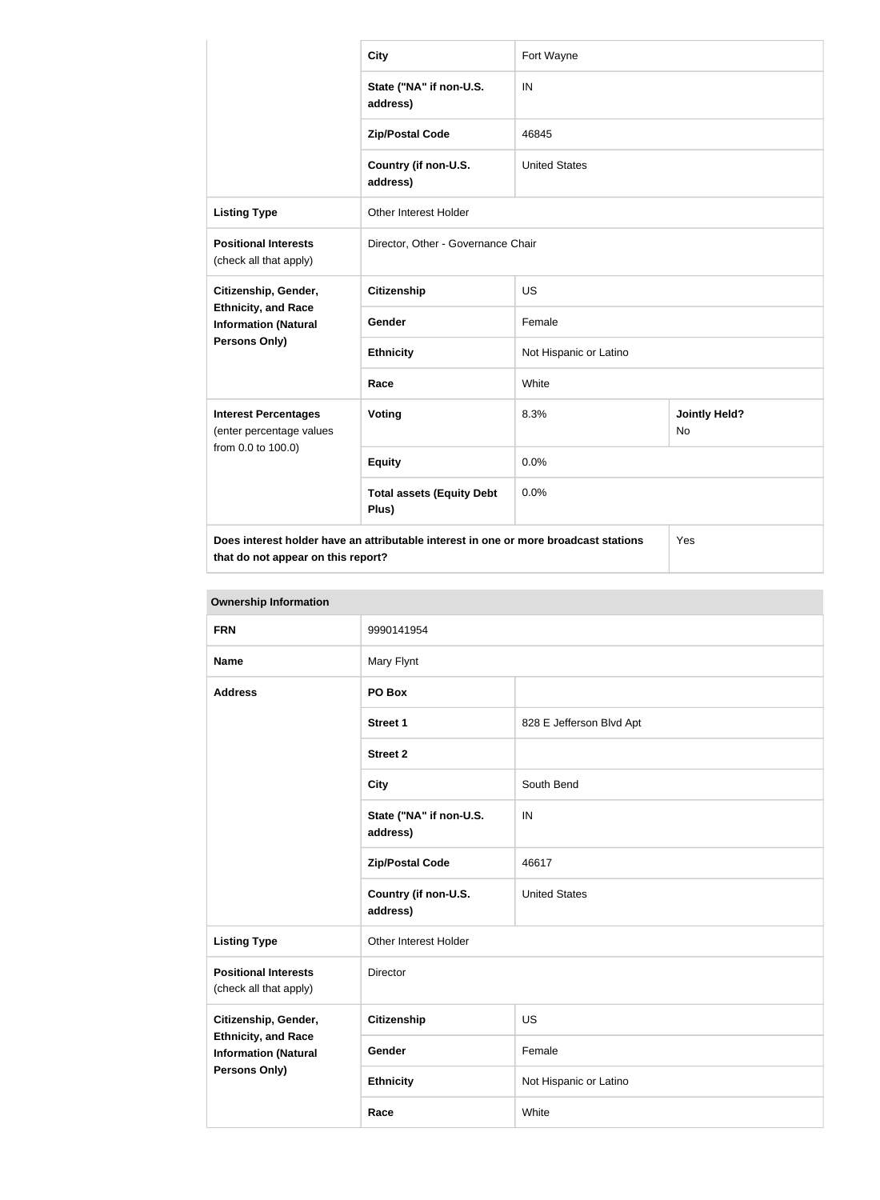|                                                                                                                                   | <b>City</b>                               | Fort Wayne             |                                   |
|-----------------------------------------------------------------------------------------------------------------------------------|-------------------------------------------|------------------------|-----------------------------------|
|                                                                                                                                   | State ("NA" if non-U.S.<br>address)       | IN                     |                                   |
|                                                                                                                                   | <b>Zip/Postal Code</b>                    | 46845                  |                                   |
|                                                                                                                                   | Country (if non-U.S.<br>address)          | <b>United States</b>   |                                   |
| <b>Listing Type</b>                                                                                                               | <b>Other Interest Holder</b>              |                        |                                   |
| <b>Positional Interests</b><br>(check all that apply)                                                                             | Director, Other - Governance Chair        |                        |                                   |
| Citizenship, Gender,                                                                                                              | <b>Citizenship</b>                        | <b>US</b>              |                                   |
| <b>Ethnicity, and Race</b><br><b>Information (Natural</b>                                                                         | <b>Gender</b>                             | Female                 |                                   |
| Persons Only)                                                                                                                     | <b>Ethnicity</b>                          | Not Hispanic or Latino |                                   |
|                                                                                                                                   | Race                                      | White                  |                                   |
| <b>Interest Percentages</b><br>(enter percentage values                                                                           | Voting                                    | 8.3%                   | <b>Jointly Held?</b><br><b>No</b> |
| from 0.0 to 100.0)                                                                                                                | <b>Equity</b>                             | 0.0%                   |                                   |
|                                                                                                                                   | <b>Total assets (Equity Debt</b><br>Plus) | 0.0%                   |                                   |
| Does interest holder have an attributable interest in one or more broadcast stations<br>Yes<br>that do not appear on this report? |                                           |                        |                                   |

| <b>Ownership Information</b>                                                                              |                                     |                          |  |
|-----------------------------------------------------------------------------------------------------------|-------------------------------------|--------------------------|--|
| <b>FRN</b>                                                                                                | 9990141954                          |                          |  |
| <b>Name</b>                                                                                               | Mary Flynt                          |                          |  |
| <b>Address</b>                                                                                            | PO Box                              |                          |  |
|                                                                                                           | <b>Street 1</b>                     | 828 E Jefferson Blvd Apt |  |
|                                                                                                           | <b>Street 2</b>                     |                          |  |
|                                                                                                           | <b>City</b>                         | South Bend               |  |
|                                                                                                           | State ("NA" if non-U.S.<br>address) | IN                       |  |
|                                                                                                           | <b>Zip/Postal Code</b>              | 46617                    |  |
|                                                                                                           | Country (if non-U.S.<br>address)    | <b>United States</b>     |  |
| <b>Listing Type</b>                                                                                       | Other Interest Holder               |                          |  |
| <b>Positional Interests</b><br>(check all that apply)                                                     | Director                            |                          |  |
| Citizenship, Gender,<br><b>Ethnicity, and Race</b><br><b>Information (Natural</b><br><b>Persons Only)</b> | Citizenship                         | <b>US</b>                |  |
|                                                                                                           | Gender                              | Female                   |  |
|                                                                                                           | <b>Ethnicity</b>                    | Not Hispanic or Latino   |  |
|                                                                                                           | Race                                | White                    |  |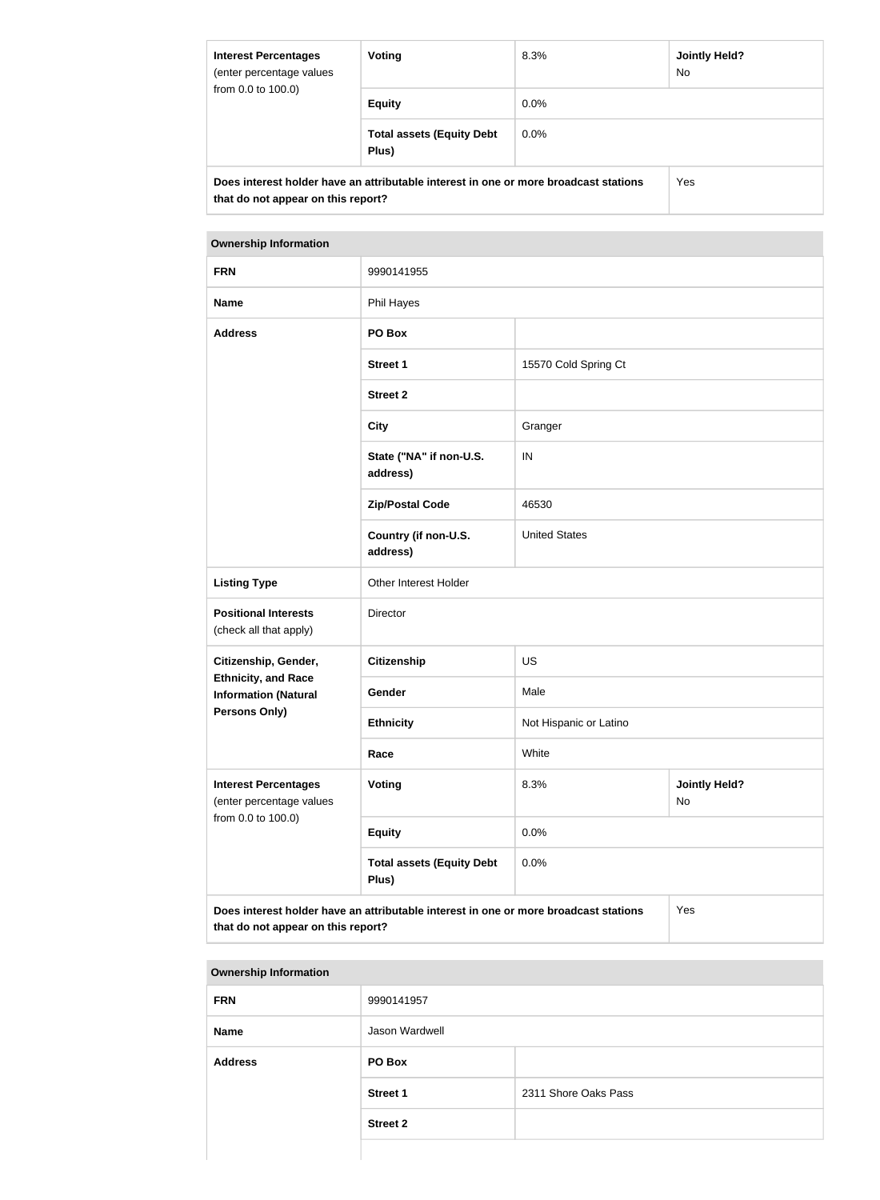| <b>Interest Percentages</b><br>(enter percentage values<br>from 0.0 to 100.0) | Voting                                                                               | 8.3%    | Jointly Held?<br><b>No</b> |
|-------------------------------------------------------------------------------|--------------------------------------------------------------------------------------|---------|----------------------------|
|                                                                               | <b>Equity</b>                                                                        | $0.0\%$ |                            |
|                                                                               | <b>Total assets (Equity Debt</b><br>Plus)                                            | $0.0\%$ |                            |
| that do not appear on this report?                                            | Does interest holder have an attributable interest in one or more broadcast stations |         | <b>Yes</b>                 |

| <b>FRN</b>                                                                                                                        | 9990141955                                |                                    |  |
|-----------------------------------------------------------------------------------------------------------------------------------|-------------------------------------------|------------------------------------|--|
| <b>Name</b>                                                                                                                       | Phil Hayes                                |                                    |  |
| <b>Address</b>                                                                                                                    | PO Box                                    |                                    |  |
|                                                                                                                                   | <b>Street 1</b>                           | 15570 Cold Spring Ct               |  |
|                                                                                                                                   | <b>Street 2</b>                           |                                    |  |
|                                                                                                                                   | <b>City</b>                               | Granger                            |  |
|                                                                                                                                   | State ("NA" if non-U.S.<br>address)       | IN                                 |  |
|                                                                                                                                   | <b>Zip/Postal Code</b>                    | 46530                              |  |
|                                                                                                                                   | Country (if non-U.S.<br>address)          | <b>United States</b>               |  |
| <b>Listing Type</b>                                                                                                               | Other Interest Holder                     |                                    |  |
| <b>Positional Interests</b><br>(check all that apply)                                                                             | Director                                  |                                    |  |
| Citizenship, Gender,                                                                                                              | <b>Citizenship</b>                        | <b>US</b>                          |  |
| <b>Ethnicity, and Race</b><br><b>Information (Natural</b>                                                                         | Gender                                    | Male                               |  |
| <b>Persons Only)</b>                                                                                                              | <b>Ethnicity</b>                          | Not Hispanic or Latino             |  |
|                                                                                                                                   | Race                                      | White                              |  |
| <b>Interest Percentages</b><br>(enter percentage values<br>from 0.0 to 100.0)                                                     | Voting                                    | 8.3%<br><b>Jointly Held?</b><br>No |  |
|                                                                                                                                   | <b>Equity</b>                             | 0.0%                               |  |
|                                                                                                                                   | <b>Total assets (Equity Debt</b><br>Plus) | 0.0%                               |  |
| Does interest holder have an attributable interest in one or more broadcast stations<br>Yes<br>that do not appear on this report? |                                           |                                    |  |

| <b>Ownership Information</b> |                 |                      |  |
|------------------------------|-----------------|----------------------|--|
| <b>FRN</b>                   | 9990141957      |                      |  |
| <b>Name</b>                  | Jason Wardwell  |                      |  |
| <b>Address</b>               | PO Box          |                      |  |
|                              | <b>Street 1</b> | 2311 Shore Oaks Pass |  |
|                              | <b>Street 2</b> |                      |  |
|                              |                 |                      |  |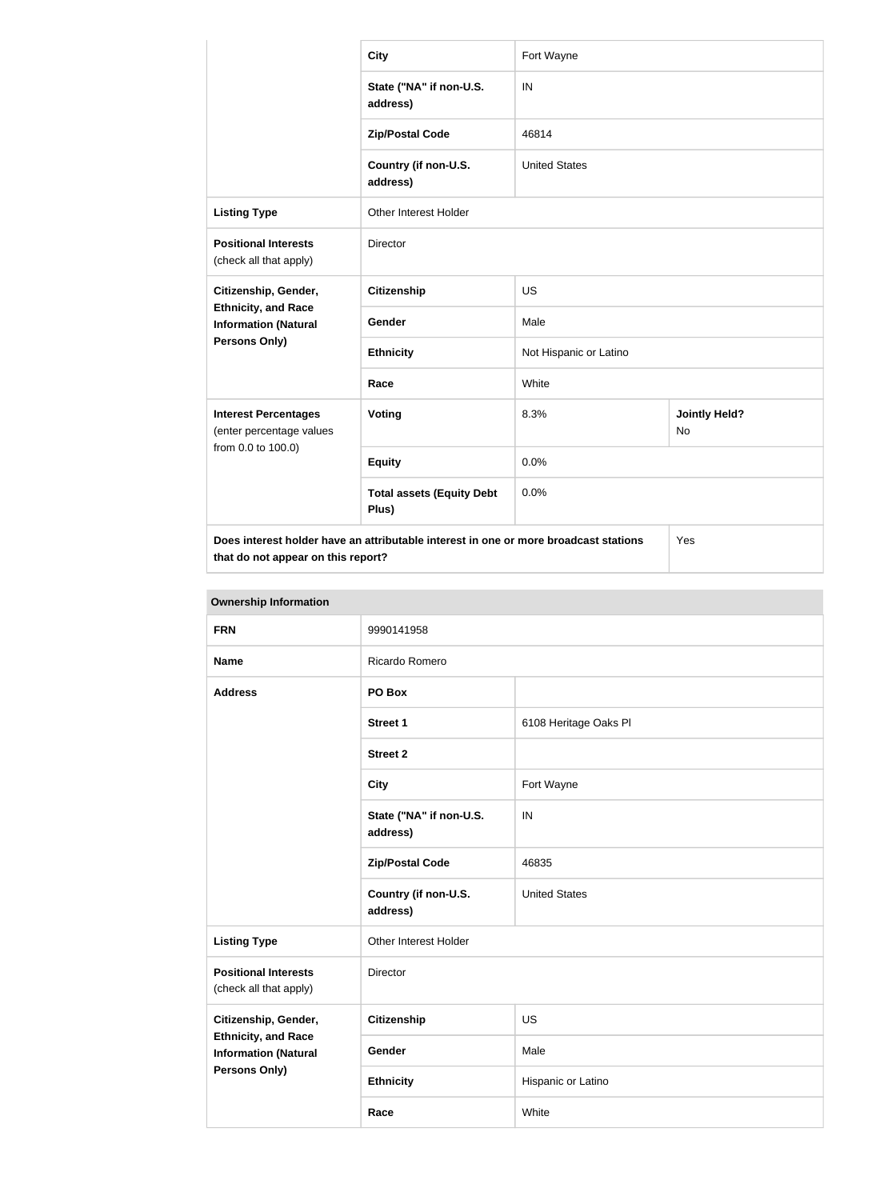|                                                           | <b>City</b>                                                                          | Fort Wayne             |                            |  |
|-----------------------------------------------------------|--------------------------------------------------------------------------------------|------------------------|----------------------------|--|
|                                                           | State ("NA" if non-U.S.<br>address)                                                  | IN                     |                            |  |
|                                                           | <b>Zip/Postal Code</b>                                                               | 46814                  |                            |  |
|                                                           | Country (if non-U.S.<br>address)                                                     | <b>United States</b>   |                            |  |
| <b>Listing Type</b>                                       | <b>Other Interest Holder</b>                                                         |                        |                            |  |
| <b>Positional Interests</b><br>(check all that apply)     | Director                                                                             |                        |                            |  |
| Citizenship, Gender,                                      | <b>Citizenship</b>                                                                   | <b>US</b>              |                            |  |
| <b>Ethnicity, and Race</b><br><b>Information (Natural</b> | Gender                                                                               | Male                   |                            |  |
| <b>Persons Only)</b>                                      | <b>Ethnicity</b>                                                                     | Not Hispanic or Latino |                            |  |
|                                                           | Race                                                                                 | White                  |                            |  |
| <b>Interest Percentages</b><br>(enter percentage values   | <b>Voting</b>                                                                        | 8.3%                   | <b>Jointly Held?</b><br>No |  |
| from 0.0 to 100.0)                                        | <b>Equity</b>                                                                        | 0.0%                   |                            |  |
|                                                           | <b>Total assets (Equity Debt</b><br>Plus)                                            | 0.0%                   |                            |  |
| that do not appear on this report?                        | Does interest holder have an attributable interest in one or more broadcast stations |                        | Yes                        |  |

|                                                                                                           | <b>Ownership Information</b>        |                       |  |  |
|-----------------------------------------------------------------------------------------------------------|-------------------------------------|-----------------------|--|--|
| <b>FRN</b>                                                                                                | 9990141958                          |                       |  |  |
| <b>Name</b>                                                                                               | Ricardo Romero                      |                       |  |  |
| <b>Address</b>                                                                                            | PO Box                              |                       |  |  |
|                                                                                                           | <b>Street 1</b>                     | 6108 Heritage Oaks Pl |  |  |
|                                                                                                           | <b>Street 2</b>                     |                       |  |  |
|                                                                                                           | <b>City</b>                         | Fort Wayne            |  |  |
|                                                                                                           | State ("NA" if non-U.S.<br>address) | IN                    |  |  |
|                                                                                                           | <b>Zip/Postal Code</b>              | 46835                 |  |  |
|                                                                                                           | Country (if non-U.S.<br>address)    | <b>United States</b>  |  |  |
| <b>Listing Type</b>                                                                                       | Other Interest Holder               |                       |  |  |
| <b>Positional Interests</b><br>(check all that apply)                                                     | Director                            |                       |  |  |
| Citizenship, Gender,<br><b>Ethnicity, and Race</b><br><b>Information (Natural</b><br><b>Persons Only)</b> | <b>Citizenship</b>                  | <b>US</b>             |  |  |
|                                                                                                           | Gender                              | Male                  |  |  |
|                                                                                                           | <b>Ethnicity</b>                    | Hispanic or Latino    |  |  |
|                                                                                                           | Race                                | White                 |  |  |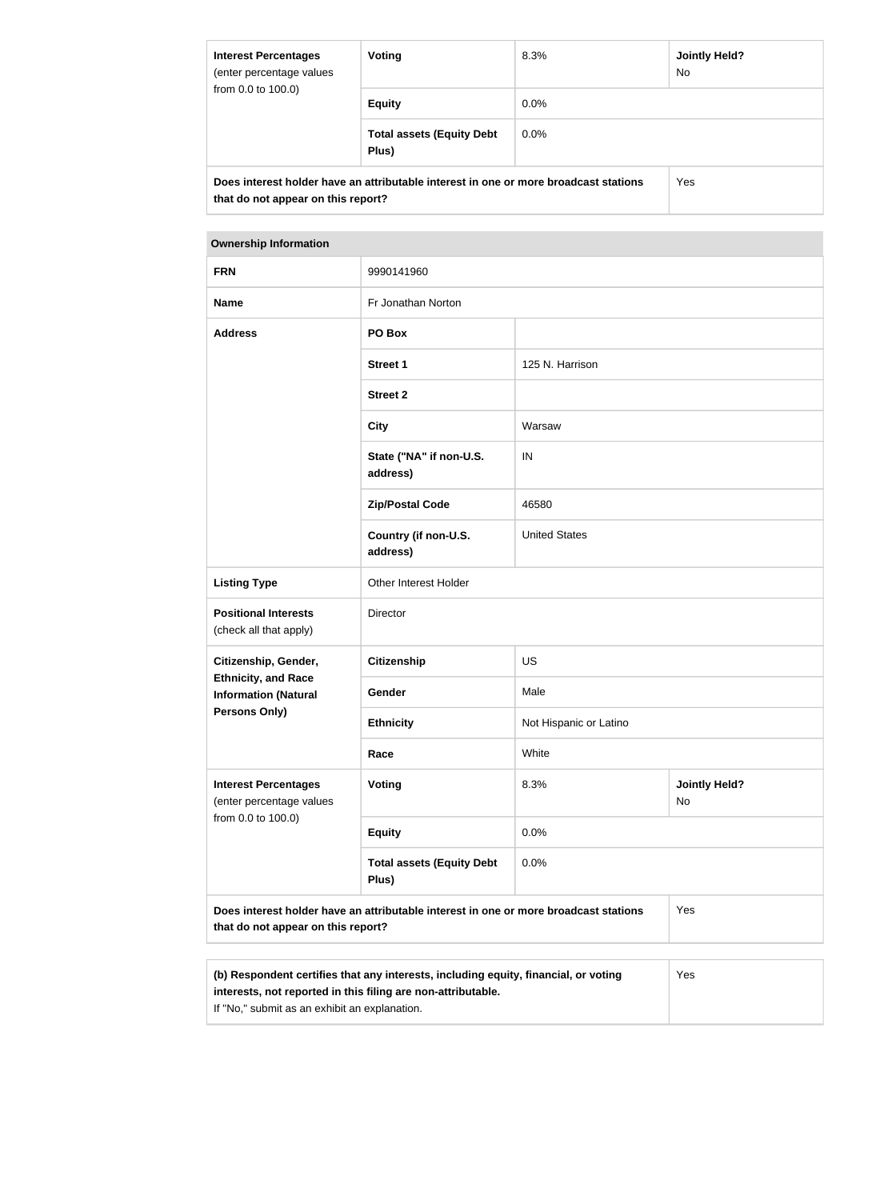| <b>Interest Percentages</b><br>(enter percentage values<br>from 0.0 to 100.0) | Voting                                                                               | 8.3%    | <b>Jointly Held?</b><br>No. |
|-------------------------------------------------------------------------------|--------------------------------------------------------------------------------------|---------|-----------------------------|
|                                                                               | <b>Equity</b>                                                                        | $0.0\%$ |                             |
|                                                                               | <b>Total assets (Equity Debt</b><br>Plus)                                            | $0.0\%$ |                             |
| that do not appear on this report?                                            | Does interest holder have an attributable interest in one or more broadcast stations |         | Yes                         |

| <b>FRN</b>                                                                    | 9990141960                                                                           |                                    |     |
|-------------------------------------------------------------------------------|--------------------------------------------------------------------------------------|------------------------------------|-----|
| <b>Name</b>                                                                   | Fr Jonathan Norton                                                                   |                                    |     |
|                                                                               |                                                                                      |                                    |     |
| <b>Address</b>                                                                | PO Box                                                                               |                                    |     |
|                                                                               | <b>Street 1</b>                                                                      | 125 N. Harrison                    |     |
|                                                                               | <b>Street 2</b>                                                                      |                                    |     |
|                                                                               | <b>City</b>                                                                          | Warsaw                             |     |
|                                                                               | State ("NA" if non-U.S.<br>address)                                                  | IN                                 |     |
|                                                                               | <b>Zip/Postal Code</b>                                                               | 46580                              |     |
|                                                                               | Country (if non-U.S.<br>address)                                                     | <b>United States</b>               |     |
| <b>Listing Type</b>                                                           | Other Interest Holder                                                                |                                    |     |
| <b>Positional Interests</b><br>(check all that apply)                         | Director                                                                             |                                    |     |
| Citizenship, Gender,                                                          | <b>Citizenship</b>                                                                   | <b>US</b>                          |     |
| <b>Ethnicity, and Race</b><br><b>Information (Natural</b>                     | Gender                                                                               | Male                               |     |
| <b>Persons Only)</b>                                                          | <b>Ethnicity</b>                                                                     | Not Hispanic or Latino             |     |
|                                                                               | Race                                                                                 | White                              |     |
| <b>Interest Percentages</b><br>(enter percentage values<br>from 0.0 to 100.0) | <b>Voting</b>                                                                        | 8.3%<br><b>Jointly Held?</b><br>No |     |
|                                                                               | <b>Equity</b>                                                                        | 0.0%                               |     |
|                                                                               | <b>Total assets (Equity Debt</b><br>Plus)                                            | 0.0%                               |     |
| that do not appear on this report?                                            | Does interest holder have an attributable interest in one or more broadcast stations |                                    | Yes |
|                                                                               |                                                                                      |                                    |     |

| (b) Respondent certifies that any interests, including equity, financial, or voting | Yes |
|-------------------------------------------------------------------------------------|-----|
| interests, not reported in this filing are non-attributable.                        |     |
| If "No," submit as an exhibit an explanation.                                       |     |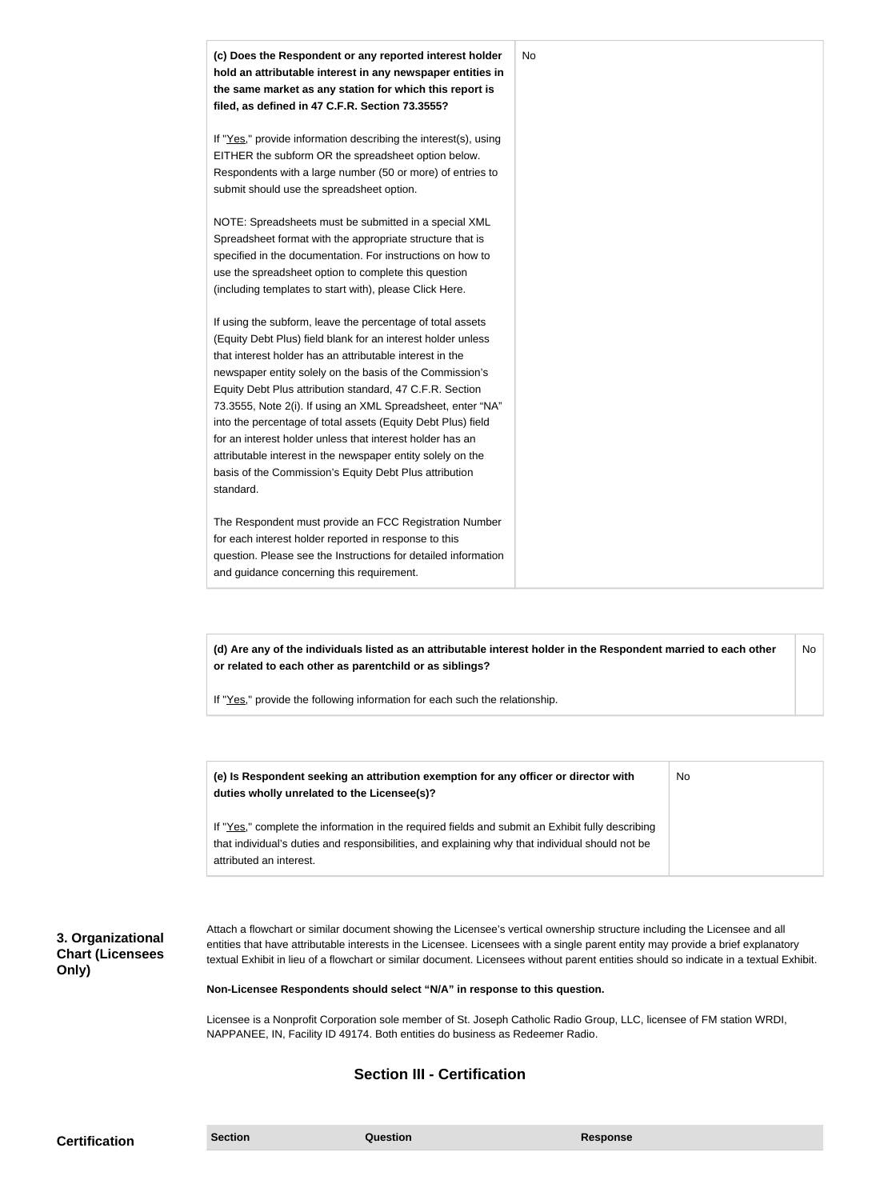| (c) Does the Respondent or any reported interest holder<br>hold an attributable interest in any newspaper entities in<br>the same market as any station for which this report is<br>filed, as defined in 47 C.F.R. Section 73.3555?                                                                                                                                                                                                                                                                                                                                                                                                              | No |
|--------------------------------------------------------------------------------------------------------------------------------------------------------------------------------------------------------------------------------------------------------------------------------------------------------------------------------------------------------------------------------------------------------------------------------------------------------------------------------------------------------------------------------------------------------------------------------------------------------------------------------------------------|----|
| If "Yes," provide information describing the interest(s), using<br>EITHER the subform OR the spreadsheet option below.<br>Respondents with a large number (50 or more) of entries to<br>submit should use the spreadsheet option.                                                                                                                                                                                                                                                                                                                                                                                                                |    |
| NOTE: Spreadsheets must be submitted in a special XML<br>Spreadsheet format with the appropriate structure that is<br>specified in the documentation. For instructions on how to<br>use the spreadsheet option to complete this question<br>(including templates to start with), please Click Here.                                                                                                                                                                                                                                                                                                                                              |    |
| If using the subform, leave the percentage of total assets<br>(Equity Debt Plus) field blank for an interest holder unless<br>that interest holder has an attributable interest in the<br>newspaper entity solely on the basis of the Commission's<br>Equity Debt Plus attribution standard, 47 C.F.R. Section<br>73.3555, Note 2(i). If using an XML Spreadsheet, enter "NA"<br>into the percentage of total assets (Equity Debt Plus) field<br>for an interest holder unless that interest holder has an<br>attributable interest in the newspaper entity solely on the<br>basis of the Commission's Equity Debt Plus attribution<br>standard. |    |
| The Respondent must provide an FCC Registration Number<br>for each interest holder reported in response to this                                                                                                                                                                                                                                                                                                                                                                                                                                                                                                                                  |    |

If "Yes," provide the following information for each such the relationship.

| (e) Is Respondent seeking an attribution exemption for any officer or director with<br>duties wholly unrelated to the Licensee(s)?                                                                                             | <b>No</b> |
|--------------------------------------------------------------------------------------------------------------------------------------------------------------------------------------------------------------------------------|-----------|
| If "Yes," complete the information in the required fields and submit an Exhibit fully describing<br>that individual's duties and responsibilities, and explaining why that individual should not be<br>attributed an interest. |           |

#### **3. Organizational Chart (Licensees Only)**

Attach a flowchart or similar document showing the Licensee's vertical ownership structure including the Licensee and all entities that have attributable interests in the Licensee. Licensees with a single parent entity may provide a brief explanatory textual Exhibit in lieu of a flowchart or similar document. Licensees without parent entities should so indicate in a textual Exhibit.

**Non-Licensee Respondents should select "N/A" in response to this question.**

Licensee is a Nonprofit Corporation sole member of St. Joseph Catholic Radio Group, LLC, licensee of FM station WRDI, NAPPANEE, IN, Facility ID 49174. Both entities do business as Redeemer Radio.

#### **Section III - Certification**